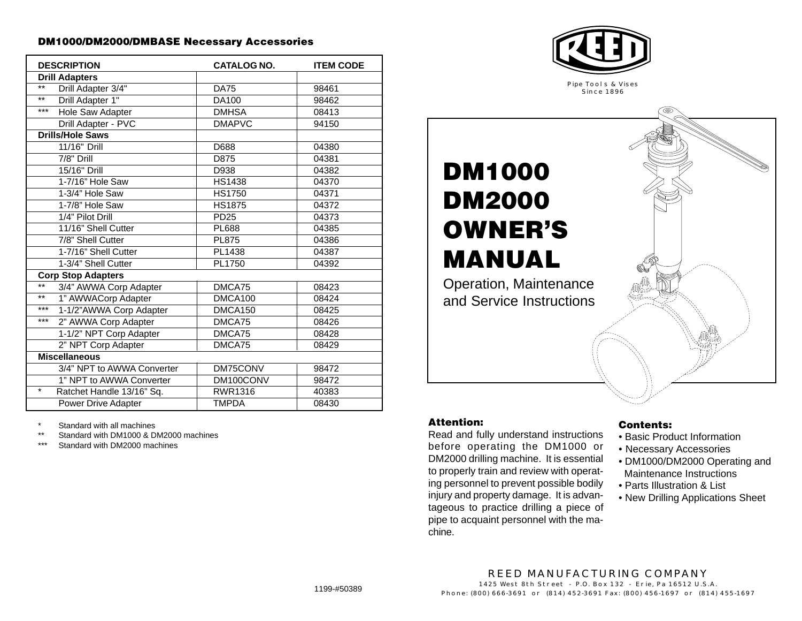#### **DM1000/DM2000/DMBASE Necessary Accessories**

| <b>DESCRIPTION</b>                   | <b>CATALOG NO.</b> | <b>ITEM CODE</b> |  |  |
|--------------------------------------|--------------------|------------------|--|--|
| <b>Drill Adapters</b>                |                    |                  |  |  |
| $***$<br>Drill Adapter 3/4"          | <b>DA75</b>        | 98461            |  |  |
| $***$<br>Drill Adapter 1"            | DA100              | 98462            |  |  |
| $***$<br>Hole Saw Adapter            | <b>DMHSA</b>       | 08413            |  |  |
| Drill Adapter - PVC                  | <b>DMAPVC</b>      | 94150            |  |  |
| <b>Drills/Hole Saws</b>              |                    |                  |  |  |
| 11/16" Drill                         | D688               | 04380            |  |  |
| 7/8" Drill                           | D875               | 04381            |  |  |
| 15/16" Drill                         | D938               | 04382            |  |  |
| 1-7/16" Hole Saw                     | <b>HS1438</b>      | 04370            |  |  |
| 1-3/4" Hole Saw                      | <b>HS1750</b>      | 04371            |  |  |
| 1-7/8" Hole Saw                      | <b>HS1875</b>      | 04372            |  |  |
| 1/4" Pilot Drill                     | PD <sub>25</sub>   | 04373            |  |  |
| 11/16" Shell Cutter                  | <b>PL688</b>       | 04385            |  |  |
| 7/8" Shell Cutter                    | <b>PL875</b>       | 04386            |  |  |
| 1-7/16" Shell Cutter                 | PL1438             | 04387            |  |  |
| 1-3/4" Shell Cutter                  | PL1750             | 04392            |  |  |
| <b>Corp Stop Adapters</b>            |                    |                  |  |  |
| $***$<br>3/4" AWWA Corp Adapter      | DMCA75             | 08423            |  |  |
| $***$<br>1" AWWACorp Adapter         | DMCA100            | 08424            |  |  |
| $***$<br>1-1/2"AWWA Corp Adapter     | DMCA150            | 08425            |  |  |
| $***$<br>2" AWWA Corp Adapter        | DMCA75             | 08426            |  |  |
| 1-1/2" NPT Corp Adapter              | DMCA75             | 08428            |  |  |
| 2" NPT Corp Adapter                  | DMCA75             | 08429            |  |  |
| <b>Miscellaneous</b>                 |                    |                  |  |  |
| 3/4" NPT to AWWA Converter           | DM75CONV           | 98472            |  |  |
| 1" NPT to AWWA Converter             | DM100CONV          | 98472            |  |  |
| $\star$<br>Ratchet Handle 13/16" Sq. | RWR1316            | 40383            |  |  |
| Power Drive Adapter                  | <b>TMPDA</b>       | 08430            |  |  |

Standard with all machines

\*\* Standard with DM1000 & DM2000 machines

Standard with DM2000 machines



**DM1000 DM2000 OWNER'S MANUAL** Operation, Maintenance and Service Instructions

### **Attention:**

Read and fully understand instructions before operating the DM1000 or DM2000 drilling machine. It is essential to properly train and review with operating personnel to prevent possible bodily injury and property damage. It is advantageous to practice drilling a piece of pipe to acquaint personnel with the machine.

#### **Contents:**

- Basic Product Information
- Necessary Accessories
- DM1000/DM2000 Operating and Maintenance Instructions
- Parts Illustration & List
- New Drilling Applications Sheet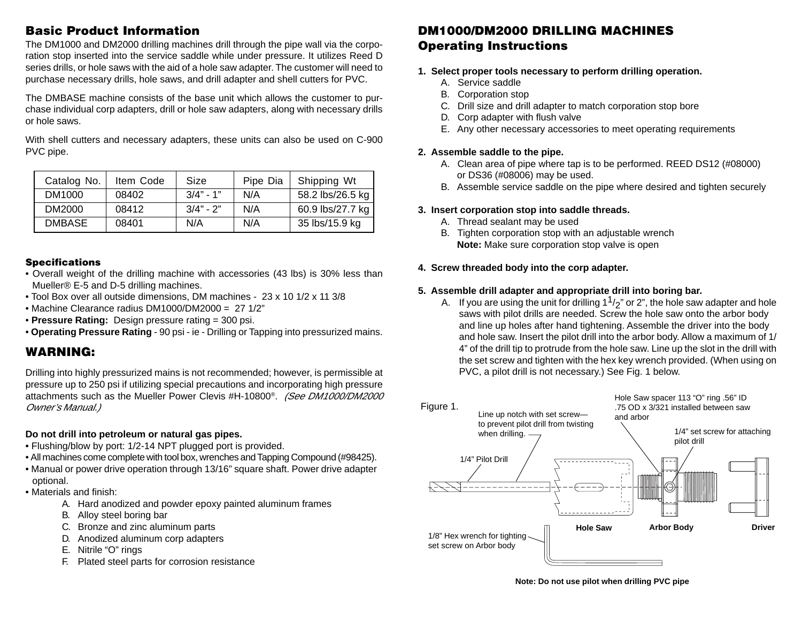## **Basic Product Information**

The DM1000 and DM2000 drilling machines drill through the pipe wall via the corporation stop inserted into the service saddle while under pressure. It utilizes Reed D series drills, or hole saws with the aid of a hole saw adapter. The customer will need to purchase necessary drills, hole saws, and drill adapter and shell cutters for PVC.

The DMBASE machine consists of the base unit which allows the customer to purchase individual corp adapters, drill or hole saw adapters, along with necessary drills or hole saws.

With shell cutters and necessary adapters, these units can also be used on C-900 PVC pipe.

| Catalog No.   | Item Code | Size        | Pipe Dia | Shipping Wt      |
|---------------|-----------|-------------|----------|------------------|
| DM1000        | 08402     | $3/4" - 1"$ | N/A      | 58.2 lbs/26.5 kg |
| DM2000        | 08412     | $3/4" - 2"$ | N/A      | 60.9 lbs/27.7 kg |
| <b>DMBASE</b> | 08401     | N/A         | N/A      | 35 lbs/15.9 kg   |

#### **Specifications**

- Overall weight of the drilling machine with accessories (43 lbs) is 30% less than Mueller® E-5 and D-5 drilling machines.
- Tool Box over all outside dimensions, DM machines 23 x 10 1/2 x 11 3/8
- Machine Clearance radius DM1000/DM2000 = 27 1/2"
- **Pressure Rating:** Design pressure rating = 300 psi.
- **Operating Pressure Rating** 90 psi ie Drilling or Tapping into pressurized mains.

## **WARNING:**

Drilling into highly pressurized mains is not recommended; however, is permissible at pressure up to 250 psi if utilizing special precautions and incorporating high pressure attachments such as the Mueller Power Clevis #H-10800®. (See DM1000/DM2000 Owner's Manual.)

### **Do not drill into petroleum or natural gas pipes.**

- Flushing/blow by port: 1/2-14 NPT plugged port is provided.
- All machines come complete with tool box, wrenches and Tapping Compound (#98425).
- Manual or power drive operation through 13/16" square shaft. Power drive adapter optional.
- Materials and finish:
	- A. Hard anodized and powder epoxy painted aluminum frames
	- B. Alloy steel boring bar
	- C. Bronze and zinc aluminum parts
	- D. Anodized aluminum corp adapters
	- E. Nitrile "O" rings
	- F. Plated steel parts for corrosion resistance

## **DM1000/DM2000 DRILLING MACHINES Operating Instructions**

- **1. Select proper tools necessary to perform drilling operation.**
	- A. Service saddle
	- B. Corporation stop
	- C. Drill size and drill adapter to match corporation stop bore
	- D. Corp adapter with flush valve
	- E. Any other necessary accessories to meet operating requirements

## **2. Assemble saddle to the pipe.**

- A. Clean area of pipe where tap is to be performed. REED DS12 (#08000) or DS36 (#08006) may be used.
- B. Assemble service saddle on the pipe where desired and tighten securely

## **3. Insert corporation stop into saddle threads.**

- A. Thread sealant may be used
- B. Tighten corporation stop with an adjustable wrench  **Note:** Make sure corporation stop valve is open

## **4. Screw threaded body into the corp adapter.**

## **5. Assemble drill adapter and appropriate drill into boring bar.**

A. If you are using the unit for drilling  $1^{1}/2$ " or 2", the hole saw adapter and hole saws with pilot drills are needed. Screw the hole saw onto the arbor body and line up holes after hand tightening. Assemble the driver into the body and hole saw. Insert the pilot drill into the arbor body. Allow a maximum of 1/ 4" of the drill tip to protrude from the hole saw. Line up the slot in the drill with the set screw and tighten with the hex key wrench provided. (When using on PVC, a pilot drill is not necessary.) See Fig. 1 below.



**Note: Do not use pilot when drilling PVC pipe**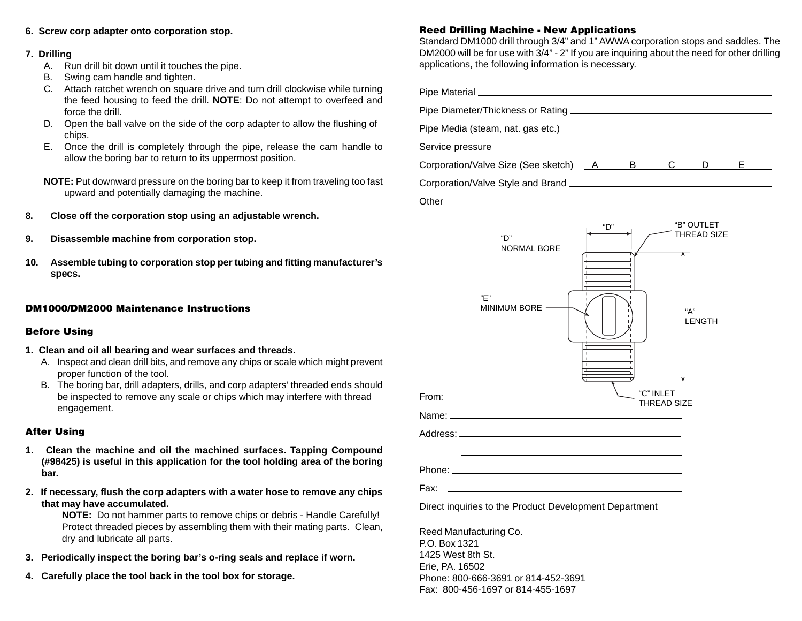#### **6. Screw corp adapter onto corporation stop.**

#### **7. Drilling**

- A. Run drill bit down until it touches the pipe.
- B. Swing cam handle and tighten.
- C. Attach ratchet wrench on square drive and turn drill clockwise while turning the feed housing to feed the drill. **NOTE**: Do not attempt to overfeed and force the drill.
- D. Open the ball valve on the side of the corp adapter to allow the flushing of chips.
- E. Once the drill is completely through the pipe, release the cam handle to allow the boring bar to return to its uppermost position.
- **NOTE:** Put downward pressure on the boring bar to keep it from traveling too fast upward and potentially damaging the machine.
- **8. Close off the corporation stop using an adjustable wrench.**
- **9. Disassemble machine from corporation stop.**
- **10. Assemble tubing to corporation stop per tubing and fitting manufacturer's specs.**

#### **DM1000/DM2000 Maintenance Instructions**

#### **Before Using**

- **1. Clean and oil all bearing and wear surfaces and threads.**
	- A. Inspect and clean drill bits, and remove any chips or scale which might prevent proper function of the tool.
	- B. The boring bar, drill adapters, drills, and corp adapters' threaded ends should be inspected to remove any scale or chips which may interfere with thread engagement.

#### **After Using**

- **1. Clean the machine and oil the machined surfaces. Tapping Compound (#98425) is useful in this application for the tool holding area of the boring bar.**
- **2. If necessary, flush the corp adapters with a water hose to remove any chips that may have accumulated.**

**NOTE:** Do not hammer parts to remove chips or debris - Handle Carefully! Protect threaded pieces by assembling them with their mating parts. Clean, dry and lubricate all parts.

- **3. Periodically inspect the boring bar's o-ring seals and replace if worn.**
- **4. Carefully place the tool back in the tool box for storage.**

### **Reed Drilling Machine - New Applications**

Standard DM1000 drill through 3/4" and 1" AWWA corporation stops and saddles. The DM2000 will be for use with 3/4" - 2" If you are inquiring about the need for other drilling applications, the following information is necessary.

| Corporation/Valve Size (See sketch) A B C D E L                                                                |     |                    |                                  |  |
|----------------------------------------------------------------------------------------------------------------|-----|--------------------|----------------------------------|--|
|                                                                                                                |     |                    |                                  |  |
|                                                                                                                |     |                    |                                  |  |
| "D"<br><b>NORMAL BORE</b><br>"F"<br>MINIMUM BORE -                                                             | "D" |                    | "B" OUTLET<br>THREAD SIZE<br>"А" |  |
|                                                                                                                |     | "C" INLET          | <b>LENGTH</b>                    |  |
| From:                                                                                                          |     | <b>THREAD SIZE</b> |                                  |  |
| Name: when the contract of the contract of the contract of the contract of the contract of the contract of the |     |                    |                                  |  |
|                                                                                                                |     |                    |                                  |  |
| Fax:                                                                                                           |     |                    |                                  |  |
| Direct inquiries to the Product Development Department                                                         |     |                    |                                  |  |

Erie, PA. 16502 Phone: 800-666-3691 or 814-452-3691 Fax: 800-456-1697 or 814-455-1697